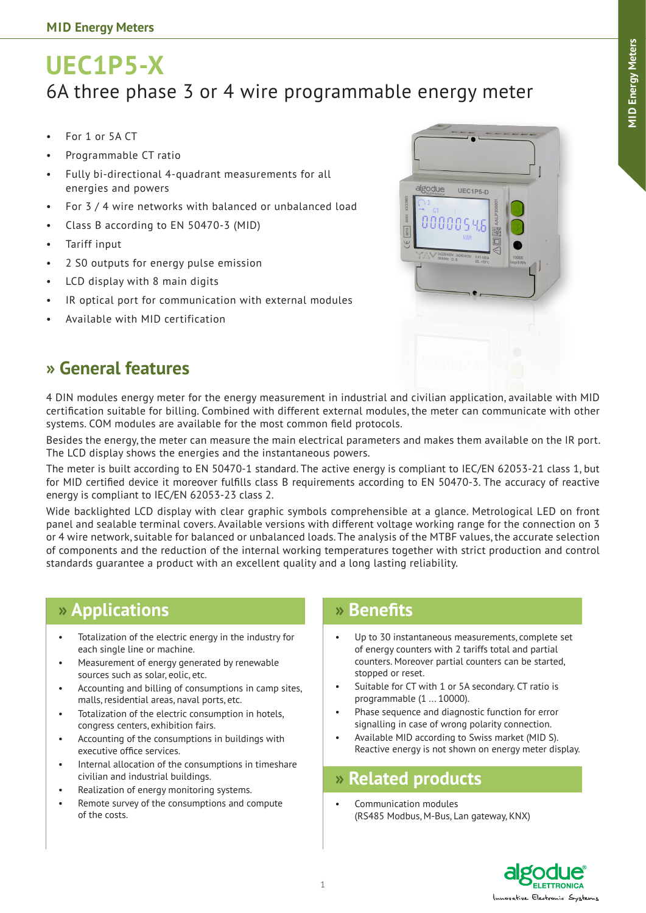# **UEC1P5-X** 6A three phase 3 or 4 wire programmable energy meter

- For 1 or 5A CT
- Programmable CT ratio
- Fully bi-directional 4-quadrant measurements for all energies and powers
- For 3 / 4 wire networks with balanced or unbalanced load
- • Class B according to EN 50470-3 (MID)
- Tariff input
- • 2 S0 outputs for energy pulse emission
- LCD display with 8 main digits
- IR optical port for communication with external modules
- Available with MID certification



### **» General features**

4 DIN modules energy meter for the energy measurement in industrial and civilian application, available with MID certification suitable for billing. Combined with different external modules, the meter can communicate with other systems. COM modules are available for the most common field protocols.

Besides the energy, the meter can measure the main electrical parameters and makes them available on the IR port. The LCD display shows the energies and the instantaneous powers.

The meter is built according to EN 50470-1 standard. The active energy is compliant to IEC/EN 62053-21 class 1, but for MID certified device it moreover fulfills class B requirements according to EN 50470-3. The accuracy of reactive energy is compliant to IEC/EN 62053-23 class 2.

Wide backlighted LCD display with clear graphic symbols comprehensible at a glance. Metrological LED on front panel and sealable terminal covers. Available versions with different voltage working range for the connection on 3 or 4 wire network, suitable for balanced or unbalanced loads. The analysis of the MTBF values, the accurate selection of components and the reduction of the internal working temperatures together with strict production and control standards guarantee a product with an excellent quality and a long lasting reliability.

### **» Applications**

- Totalization of the electric energy in the industry for each single line or machine.
- Measurement of energy generated by renewable sources such as solar, eolic, etc.
- Accounting and billing of consumptions in camp sites, malls, residential areas, naval ports, etc.
- Totalization of the electric consumption in hotels, congress centers, exhibition fairs.
- Accounting of the consumptions in buildings with executive office services.
- Internal allocation of the consumptions in timeshare civilian and industrial buildings.
- Realization of energy monitoring systems.
- Remote survey of the consumptions and compute of the costs.

### **» Benefits**

- Up to 30 instantaneous measurements, complete set of energy counters with 2 tariffs total and partial counters. Moreover partial counters can be started, stopped or reset.
- Suitable for CT with 1 or 5A secondary. CT ratio is programmable (1 ... 10000).
- Phase sequence and diagnostic function for error signalling in case of wrong polarity connection.
- Available MID according to Swiss market (MID S). Reactive energy is not shown on energy meter display.

### **» Related products**

Communication modules (RS485 Modbus, M-Bus, Lan gateway, KNX)

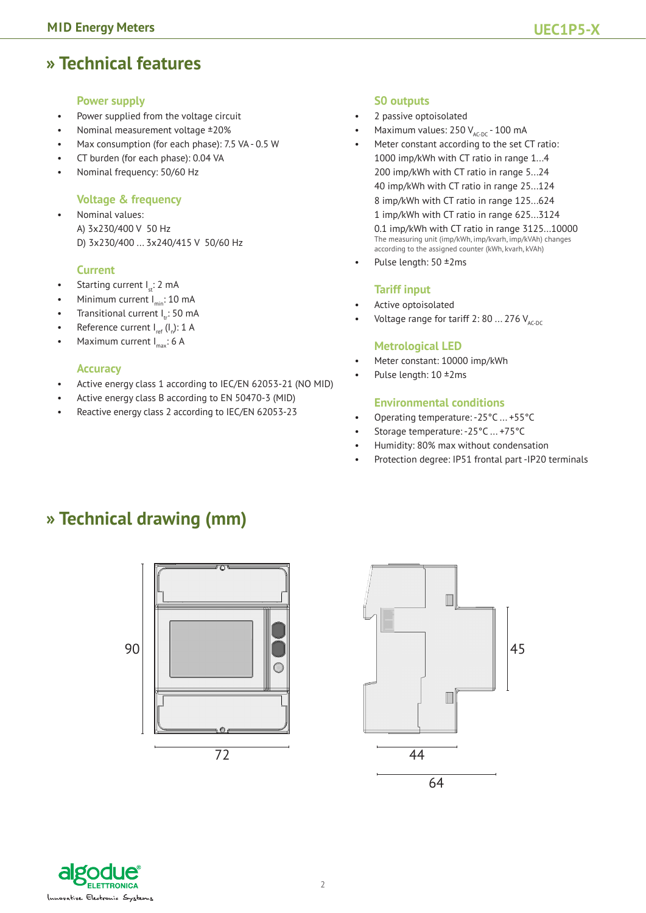### **» Technical features**

#### **Power supply**

- Power supplied from the voltage circuit
- Nominal measurement voltage ±20%
- Max consumption (for each phase): 7.5 VA 0.5 W
- CT burden (for each phase): 0.04 VA
- Nominal frequency: 50/60 Hz

#### **Voltage & frequency**

• Nominal values: A) 3x230/400 V 50 Hz D) 3x230/400 ... 3x240/415 V 50/60 Hz

#### **Current**

- Starting current  $I_n: 2$  mA
- Minimum current  $I_{\text{min}}$ : 10 mA
- Transitional current  $I_{tr}$ : 50 mA
- Reference current  $I_{ref} (I_n)$ : 1 A
- Maximum current  $I_{\text{max}}$ : 6 A

#### **Accuracy**

- Active energy class 1 according to IEC/EN 62053-21 (NO MID)
- Active energy class B according to EN 50470-3 (MID)
- Reactive energy class 2 according to IEC/EN 62053-23

#### **S0 outputs**

- 2 passive optoisolated
- Maximum values:  $250$  V<sub>AC-DC</sub> 100 mA
- Meter constant according to the set CT ratio: 1000 imp/kWh with CT ratio in range 1...4 200 imp/kWh with CT ratio in range 5...24 40 imp/kWh with CT ratio in range 25...124 8 imp/kWh with CT ratio in range 125...624 1 imp/kWh with CT ratio in range 625...3124 0.1 imp/kWh with CT ratio in range 3125...10000 The measuring unit (imp/kWh, imp/kvarh, imp/kVAh) changes according to the assigned counter (kWh, kvarh, kVAh)
- Pulse length: 50 ±2ms

#### **Tariff input**

- Active optoisolated
- Voltage range for tariff 2: 80 ... 276  $V_{AC-DC}$

#### **Metrological LED**

- Meter constant: 10000 imp/kWh
- Pulse length: 10 ±2ms

#### **Environmental conditions**

- Operating temperature: -25°C ... +55°C
- Storage temperature: -25°C ... +75°C
- Humidity: 80% max without condensation
- Protection degree: IP51 frontal part -IP20 terminals

### **» Technical drawing (mm)**





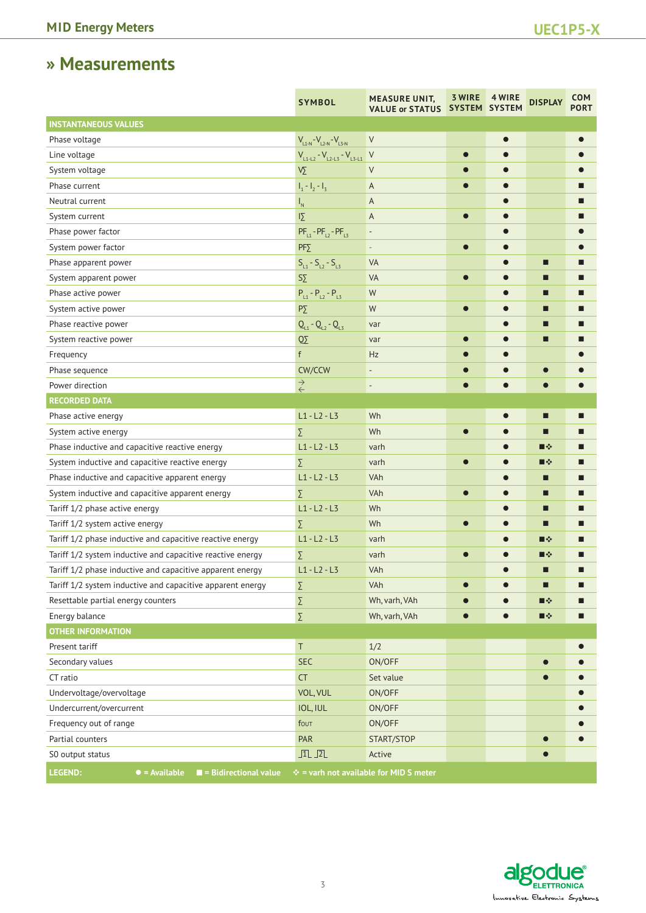# **» Measurements**

|                                                                       | <b>SYMBOL</b>                         | <b>MEASURE UNIT,</b><br><b>VALUE or STATUS</b> | <b>3 WIRE</b><br>SYSTEM SYSTEM | 4 WIRE    | <b>DISPLAY</b> | <b>COM</b><br><b>PORT</b> |
|-----------------------------------------------------------------------|---------------------------------------|------------------------------------------------|--------------------------------|-----------|----------------|---------------------------|
| <b>INSTANTANEOUS VALUES</b>                                           |                                       |                                                |                                |           |                |                           |
| Phase voltage                                                         | $V_{L1-N} - V_{L2-N} - V_{L3-N}$      | V                                              |                                | $\bullet$ |                |                           |
| Line voltage                                                          | $V_{L1-L2} - V_{L2-L3} - V_{L3-L1}$ V |                                                | $\bullet$                      |           |                |                           |
| System voltage                                                        | $\sqrt{\Sigma}$                       | $\vee$                                         |                                |           |                |                           |
| Phase current                                                         | $I_1 - I_2 - I_3$                     | A                                              |                                |           |                |                           |
| Neutral current                                                       | $\mathsf{I}_{\mathsf{N}}$             | A                                              |                                |           |                |                           |
| System current                                                        | $\overline{12}$                       | A                                              | $\bullet$                      |           |                |                           |
| Phase power factor                                                    | $PF_{11} - PF_{12} - PF_{13}$         | $\overline{\phantom{a}}$                       |                                |           |                |                           |
| System power factor                                                   | $PF\Sigma$                            | ٠                                              | $\bullet$                      |           |                |                           |
| Phase apparent power                                                  | $S_{L1} - S_{L2} - S_{L3}$            | <b>VA</b>                                      |                                |           | П              |                           |
| System apparent power                                                 | $S \Sigma$                            | VA                                             | $\bullet$                      |           | П              | Ш                         |
| Phase active power                                                    | $P_{L1} - P_{L2} - P_{L3}$            | W                                              |                                |           | ■              |                           |
| System active power                                                   | $P\Sigma$                             | W                                              | $\bullet$                      |           | ■              | ■                         |
| Phase reactive power                                                  | $Q_{11} - Q_{12} - Q_{13}$            | var                                            |                                |           | П              |                           |
| System reactive power                                                 | $\overline{\text{O}}\Sigma$           | var                                            |                                |           | □              |                           |
| Frequency                                                             | f                                     | Hz                                             |                                |           |                |                           |
| Phase sequence                                                        | CW/CCW                                | $\overline{\phantom{a}}$                       |                                |           |                |                           |
| Power direction                                                       | $\stackrel{\rightarrow}{\leftarrow}$  | $\qquad \qquad \blacksquare$                   |                                |           |                |                           |
| <b>RECORDED DATA</b>                                                  |                                       |                                                |                                |           |                |                           |
| Phase active energy                                                   | $L1 - L2 - L3$                        | Wh                                             |                                | $\bullet$ | □              |                           |
| System active energy                                                  | Σ                                     | Wh                                             |                                |           | П              |                           |
| Phase inductive and capacitive reactive energy                        | $L1 - L2 - L3$                        | varh                                           |                                |           | ■※             | ■                         |
| System inductive and capacitive reactive energy                       | Σ                                     | varh                                           |                                |           | ■※             |                           |
| Phase inductive and capacitive apparent energy                        | $L1 - L2 - L3$                        | VAh                                            |                                |           | ■              | ■                         |
| System inductive and capacitive apparent energy                       | Σ                                     | VAh                                            |                                |           | ■              | ■                         |
| Tariff 1/2 phase active energy                                        | $L1 - L2 - L3$                        | Wh                                             |                                |           | □              |                           |
| Tariff 1/2 system active energy                                       | Σ                                     | Wh                                             | $\bullet$                      | $\bullet$ | П              |                           |
| Tariff 1/2 phase inductive and capacitive reactive energy             | $L1 - L2 - L3$                        | varh                                           |                                |           | ■※             |                           |
| Tariff 1/2 system inductive and capacitive reactive energy            | Σ                                     | varh                                           | $\bullet$                      |           | ■※             |                           |
| Tariff 1/2 phase inductive and capacitive apparent energy             | $L1 - L2 - L3$                        | VAh                                            |                                |           | □              | П                         |
| Tariff 1/2 system inductive and capacitive apparent energy            | Σ                                     | VAh                                            |                                |           | □              | ■                         |
| Resettable partial energy counters                                    | Σ                                     | Wh, varh, VAh                                  |                                |           | ■※             |                           |
| Energy balance                                                        | Σ                                     | Wh, varh, VAh                                  | $\bullet$                      |           | ■※             | П                         |
| <b>OTHER INFORMATION</b>                                              |                                       |                                                |                                |           |                |                           |
| Present tariff                                                        | T                                     | 1/2                                            |                                |           |                |                           |
| Secondary values                                                      | <b>SEC</b>                            | ON/OFF                                         |                                |           | $\bullet$      |                           |
| CT ratio                                                              | <b>CT</b>                             | Set value                                      |                                |           |                |                           |
| Undervoltage/overvoltage                                              | VOL, VUL                              | ON/OFF                                         |                                |           |                |                           |
| Undercurrent/overcurrent                                              | IOL, IUL                              | ON/OFF                                         |                                |           |                |                           |
| Frequency out of range                                                | fout                                  | ON/OFF                                         |                                |           |                |                           |
| Partial counters                                                      | <b>PAR</b>                            | START/STOP                                     |                                |           | $\bullet$      |                           |
| S0 output status                                                      | $\sqrt{1}$                            | Active                                         |                                |           |                |                           |
| LEGEND:<br>$\bullet$ = Available $\blacksquare$ = Bidirectional value |                                       | $\div$ = varh not available for MID S meter    |                                |           |                |                           |